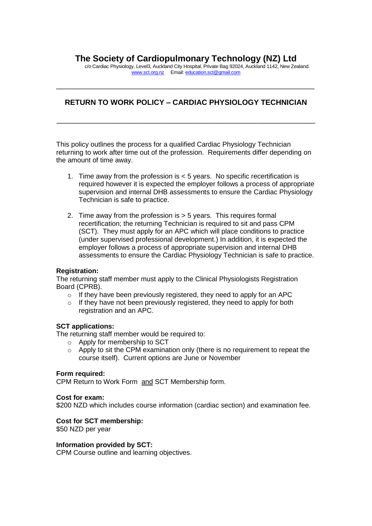# **The Society of Cardiopulmonary Technology (NZ) Ltd**

c/o Cardiac Physiology, Level3, Auckland City Hospital, Private Bag 92024, Auckland 1142, New Zealand. [www.sct.org.nz](http://www.sct.org.nz/) Email: [education.sct@gmail.com](mailto:education.sct@gmail.com)

# **RETURN TO WORK POLICY – CARDIAC PHYSIOLOGY TECHNICIAN**

\_\_\_\_\_\_\_\_\_\_\_\_\_\_\_\_\_\_\_\_\_\_\_\_\_\_\_\_\_\_\_\_\_\_\_\_\_\_\_\_\_\_\_\_\_\_\_\_\_\_\_\_\_\_\_\_\_\_\_\_\_\_

\_\_\_\_\_\_\_\_\_\_\_\_\_\_\_\_\_\_\_\_\_\_\_\_\_\_\_\_\_\_\_\_\_\_\_\_\_\_\_\_\_\_\_\_\_\_\_\_\_\_\_\_\_\_\_\_\_\_\_\_\_\_

This policy outlines the process for a qualified Cardiac Physiology Technician returning to work after time out of the profession. Requirements differ depending on the amount of time away.

- 1. Time away from the profession is < 5 years. No specific recertification is required however it is expected the employer follows a process of appropriate supervision and internal DHB assessments to ensure the Cardiac Physiology Technician is safe to practice.
- 2. Time away from the profession is > 5 years. This requires formal recertification; the returning Technician is required to sit and pass CPM (SCT). They must apply for an APC which will place conditions to practice (under supervised professional development.) In addition, it is expected the employer follows a process of appropriate supervision and internal DHB assessments to ensure the Cardiac Physiology Technician is safe to practice.

# **Registration:**

The returning staff member must apply to the Clinical Physiologists Registration Board (CPRB).

- $\circ$  If they have been previously registered, they need to apply for an APC
- o If they have not been previously registered, they need to apply for both registration and an APC.

# **SCT applications:**

The returning staff member would be required to:

- o Apply for membership to SCT
- $\circ$  Apply to sit the CPM examination only (there is no requirement to repeat the course itself). Current options are June or November

#### **Form required:**

CPM Return to Work Form and SCT Membership form.

#### **Cost for exam:**

\$200 NZD which includes course information (cardiac section) and examination fee.

# **Cost for SCT membership:**

\$50 NZD per year

#### **Information provided by SCT:**

CPM Course outline and learning objectives.